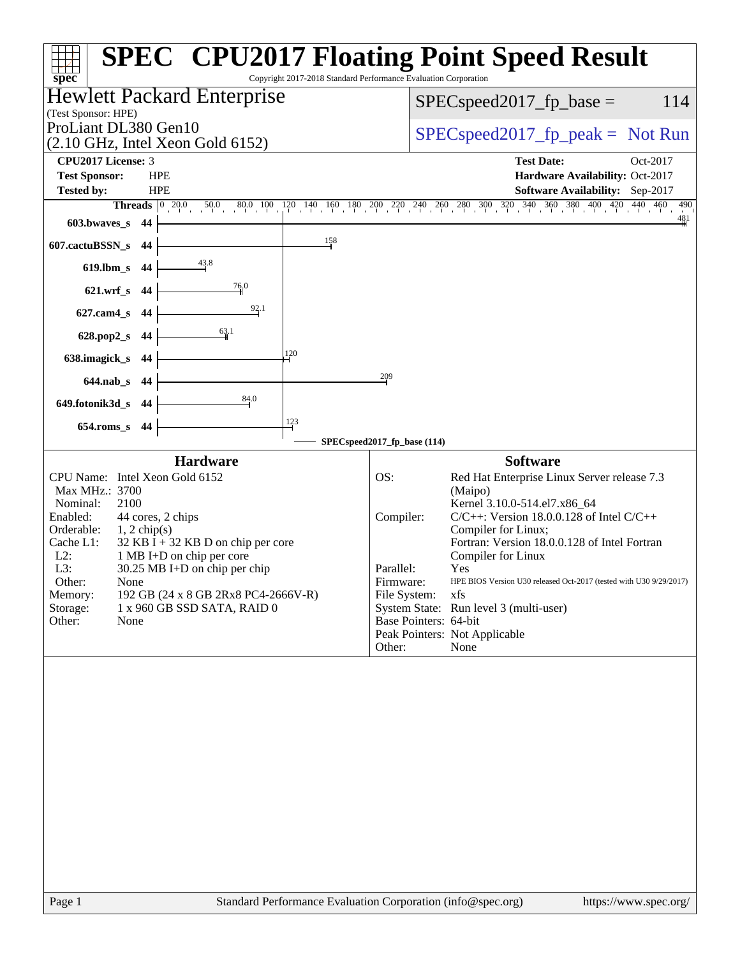| spec <sup>®</sup>                                                           | <b>SPEC<sup>®</sup> CPU2017 Floating Point Speed Result</b><br>Copyright 2017-2018 Standard Performance Evaluation Corporation |
|-----------------------------------------------------------------------------|--------------------------------------------------------------------------------------------------------------------------------|
| <b>Hewlett Packard Enterprise</b>                                           | 114<br>$SPEC speed2017_fp\_base =$                                                                                             |
| (Test Sponsor: HPE)<br>ProLiant DL380 Gen10                                 |                                                                                                                                |
| (2.10 GHz, Intel Xeon Gold 6152)                                            | $SPEC speed2017rfp peak = Not Run$                                                                                             |
| CPU2017 License: 3                                                          | <b>Test Date:</b><br>Oct-2017                                                                                                  |
| <b>Test Sponsor:</b><br><b>HPE</b>                                          | Hardware Availability: Oct-2017                                                                                                |
| <b>Tested by:</b><br><b>HPE</b>                                             | Software Availability: Sep-2017                                                                                                |
|                                                                             | Threads 0 20.0 50.0 80.0 100 120 140 160 180 200 220 240 260 280 300 320 340 360 380 400 420 440 460<br>490<br>$\frac{481}{5}$ |
| $603.bwaves$ 44                                                             |                                                                                                                                |
| 158<br>607.cactuBSSN_s 44                                                   |                                                                                                                                |
| $\frac{43.8}{ }$<br>619.lbm_s 44                                            |                                                                                                                                |
| 76.0<br>621.wrf_s 44                                                        |                                                                                                                                |
| 92.1<br>627.cam4_s 44                                                       |                                                                                                                                |
| 63.1<br>628.pop2_s 44                                                       |                                                                                                                                |
| 120<br>638.imagick_s 44                                                     |                                                                                                                                |
| 644.nab_s 44                                                                | 209                                                                                                                            |
| 84.0<br>649.fotonik3d_s 44                                                  |                                                                                                                                |
| 123<br>654.roms_s 44                                                        |                                                                                                                                |
|                                                                             | SPECspeed2017_fp_base (114)                                                                                                    |
| <b>Hardware</b>                                                             | <b>Software</b>                                                                                                                |
| CPU Name: Intel Xeon Gold 6152                                              | OS:<br>Red Hat Enterprise Linux Server release 7.3                                                                             |
| Max MHz.: 3700                                                              | (Maipo)                                                                                                                        |
| Nominal:<br>2100<br>Enabled:<br>44 cores, 2 chips                           | Kernel 3.10.0-514.el7.x86_64<br>$C/C++$ : Version 18.0.0.128 of Intel $C/C++$<br>Compiler:                                     |
| Orderable:<br>$1, 2$ chip(s)                                                | Compiler for Linux;                                                                                                            |
| $32$ KB I + 32 KB D on chip per core<br>Cache L1:                           | Fortran: Version 18.0.0.128 of Intel Fortran                                                                                   |
| $L2$ :<br>1 MB I+D on chip per core<br>L3:<br>30.25 MB I+D on chip per chip | Compiler for Linux<br>Parallel:<br>Yes                                                                                         |
| Other:<br>None                                                              | HPE BIOS Version U30 released Oct-2017 (tested with U30 9/29/2017)<br>Firmware:                                                |
| 192 GB (24 x 8 GB 2Rx8 PC4-2666V-R)<br>Memory:                              | File System:<br>xfs                                                                                                            |
| Storage:<br>1 x 960 GB SSD SATA, RAID 0<br>Other:<br>None                   | System State: Run level 3 (multi-user)<br>Base Pointers: 64-bit                                                                |
|                                                                             | Peak Pointers: Not Applicable                                                                                                  |
|                                                                             | Other:<br>None                                                                                                                 |
|                                                                             |                                                                                                                                |
|                                                                             |                                                                                                                                |
|                                                                             |                                                                                                                                |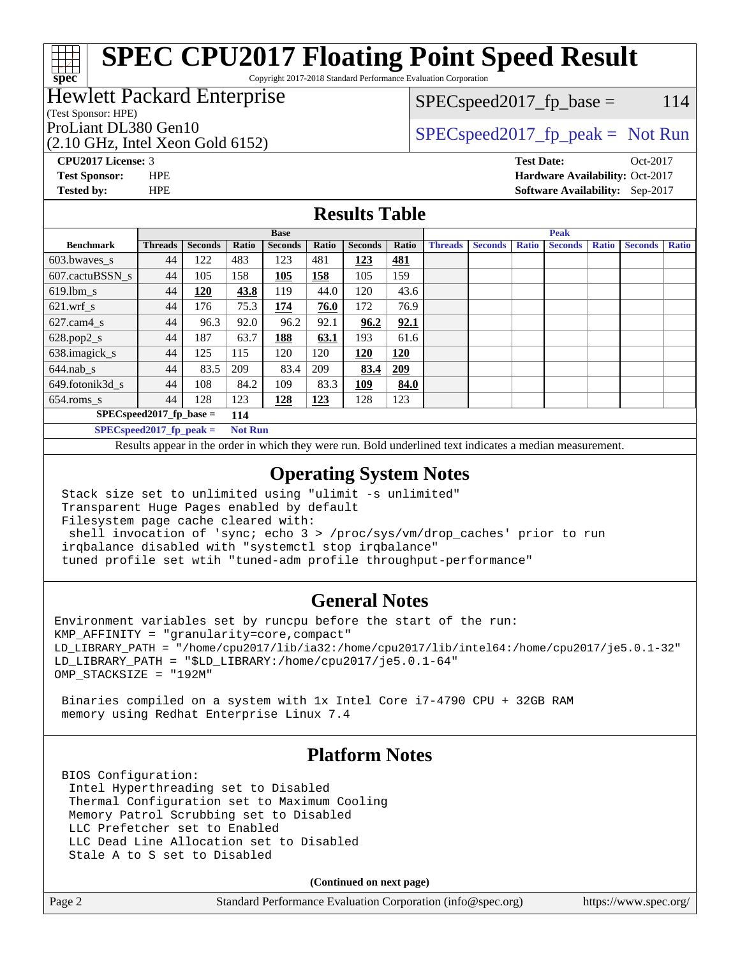Copyright 2017-2018 Standard Performance Evaluation Corporation

### Hewlett Packard Enterprise

### (Test Sponsor: HPE)

(2.10 GHz, Intel Xeon Gold 6152)

 $SPEC speed2017_fp\_base = 114$ 

# ProLiant DL380 Gen10  $SPEC speed2017_fp\_peak = Not Run$

**[CPU2017 License:](http://www.spec.org/auto/cpu2017/Docs/result-fields.html#CPU2017License)** 3 **[Test Date:](http://www.spec.org/auto/cpu2017/Docs/result-fields.html#TestDate)** Oct-2017 **[Test Sponsor:](http://www.spec.org/auto/cpu2017/Docs/result-fields.html#TestSponsor)** HPE **[Hardware Availability:](http://www.spec.org/auto/cpu2017/Docs/result-fields.html#HardwareAvailability)** Oct-2017 **[Tested by:](http://www.spec.org/auto/cpu2017/Docs/result-fields.html#Testedby)** HPE **[Software Availability:](http://www.spec.org/auto/cpu2017/Docs/result-fields.html#SoftwareAvailability)** Sep-2017

### **[Results Table](http://www.spec.org/auto/cpu2017/Docs/result-fields.html#ResultsTable)**

|                                   | <b>Base</b>    |                |                |                |       | <b>Peak</b>    |       |                |                |              |                |              |                |              |
|-----------------------------------|----------------|----------------|----------------|----------------|-------|----------------|-------|----------------|----------------|--------------|----------------|--------------|----------------|--------------|
| <b>Benchmark</b>                  | <b>Threads</b> | <b>Seconds</b> | Ratio          | <b>Seconds</b> | Ratio | <b>Seconds</b> | Ratio | <b>Threads</b> | <b>Seconds</b> | <b>Ratio</b> | <b>Seconds</b> | <b>Ratio</b> | <b>Seconds</b> | <b>Ratio</b> |
| $603.bwaves$ s                    | 44             | 122            | 483            | 123            | 481   | 123            | 481   |                |                |              |                |              |                |              |
| 607.cactuBSSN s                   | 44             | 105            | 158            | 105            | 158   | 105            | 159   |                |                |              |                |              |                |              |
| $619.$ lbm_s                      | 44             | 120            | 43.8           | 119            | 44.0  | 120            | 43.6  |                |                |              |                |              |                |              |
| $621$ .wrf s                      | 44             | 176            | 75.3           | 174            | 76.0  | 172            | 76.9  |                |                |              |                |              |                |              |
| $627.cam4_s$                      | 44             | 96.3           | 92.0           | 96.2           | 92.1  | 96.2           | 92.1  |                |                |              |                |              |                |              |
| $628.pop2_s$                      | 44             | 187            | 63.7           | 188            | 63.1  | 193            | 61.6  |                |                |              |                |              |                |              |
| 638.imagick_s                     | 44             | 125            | 115            | 120            | 120   | 120            | 120   |                |                |              |                |              |                |              |
| $644$ .nab s                      | 44             | 83.5           | 209            | 83.4           | 209   | 83.4           | 209   |                |                |              |                |              |                |              |
| 649.fotonik3d s                   | 44             | 108            | 84.2           | 109            | 83.3  | 109            | 84.0  |                |                |              |                |              |                |              |
| $654$ .roms s                     | 44             | 128            | 123            | 128            | 123   | 128            | 123   |                |                |              |                |              |                |              |
| $SPEC speed2017$ fp base =<br>114 |                |                |                |                |       |                |       |                |                |              |                |              |                |              |
| $SPECspeed2017_fp\_peak =$        |                |                | <b>Not Run</b> |                |       |                |       |                |                |              |                |              |                |              |

Results appear in the [order in which they were run.](http://www.spec.org/auto/cpu2017/Docs/result-fields.html#RunOrder) Bold underlined text [indicates a median measurement](http://www.spec.org/auto/cpu2017/Docs/result-fields.html#Median).

### **[Operating System Notes](http://www.spec.org/auto/cpu2017/Docs/result-fields.html#OperatingSystemNotes)**

 Stack size set to unlimited using "ulimit -s unlimited" Transparent Huge Pages enabled by default Filesystem page cache cleared with: shell invocation of 'sync; echo 3 > /proc/sys/vm/drop\_caches' prior to run irqbalance disabled with "systemctl stop irqbalance" tuned profile set wtih "tuned-adm profile throughput-performance"

### **[General Notes](http://www.spec.org/auto/cpu2017/Docs/result-fields.html#GeneralNotes)**

Environment variables set by runcpu before the start of the run: KMP\_AFFINITY = "granularity=core,compact" LD\_LIBRARY\_PATH = "/home/cpu2017/lib/ia32:/home/cpu2017/lib/intel64:/home/cpu2017/je5.0.1-32" LD\_LIBRARY\_PATH = "\$LD\_LIBRARY:/home/cpu2017/je5.0.1-64" OMP\_STACKSIZE = "192M"

 Binaries compiled on a system with 1x Intel Core i7-4790 CPU + 32GB RAM memory using Redhat Enterprise Linux 7.4

### **[Platform Notes](http://www.spec.org/auto/cpu2017/Docs/result-fields.html#PlatformNotes)**

 BIOS Configuration: Intel Hyperthreading set to Disabled Thermal Configuration set to Maximum Cooling Memory Patrol Scrubbing set to Disabled LLC Prefetcher set to Enabled LLC Dead Line Allocation set to Disabled Stale A to S set to Disabled

**(Continued on next page)**

| Page 2 | Standard Performance Evaluation Corporation (info@spec.org) | https://www.spec.org/ |
|--------|-------------------------------------------------------------|-----------------------|
|--------|-------------------------------------------------------------|-----------------------|

**[spec](http://www.spec.org/)**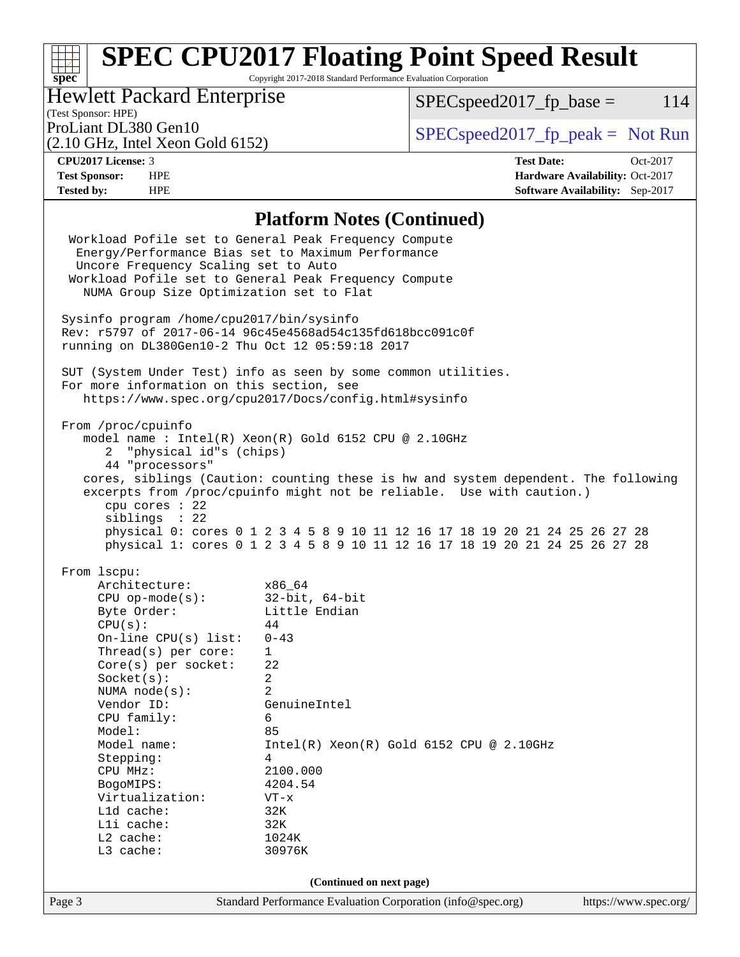Copyright 2017-2018 Standard Performance Evaluation Corporation

## Hewlett Packard Enterprise

 $SPECspeed2017_fp\_base = 114$ 

# (Test Sponsor: HPE)

(2.10 GHz, Intel Xeon Gold 6152)

ProLiant DL380 Gen10  $SPEC speed2017$ \_fp\_peak = Not Run

**[spec](http://www.spec.org/)**

**[CPU2017 License:](http://www.spec.org/auto/cpu2017/Docs/result-fields.html#CPU2017License)** 3 **[Test Date:](http://www.spec.org/auto/cpu2017/Docs/result-fields.html#TestDate)** Oct-2017 **[Test Sponsor:](http://www.spec.org/auto/cpu2017/Docs/result-fields.html#TestSponsor)** HPE **[Hardware Availability:](http://www.spec.org/auto/cpu2017/Docs/result-fields.html#HardwareAvailability)** Oct-2017 **[Tested by:](http://www.spec.org/auto/cpu2017/Docs/result-fields.html#Testedby)** HPE **[Software Availability:](http://www.spec.org/auto/cpu2017/Docs/result-fields.html#SoftwareAvailability)** Sep-2017

### **[Platform Notes \(Continued\)](http://www.spec.org/auto/cpu2017/Docs/result-fields.html#PlatformNotes)**

| Byte Order:<br>Little Endian<br>CPU(s):<br>44<br>On-line $CPU(s)$ list:<br>$0 - 43$<br>$\mathbf{1}$<br>$Thread(s)$ per core:<br>$Core(s)$ per socket:<br>22<br>$\overline{a}$<br>Socket(s):<br>NUMA node(s):<br>2<br>Vendor ID:<br>GenuineIntel<br>CPU family:<br>6<br>Model:<br>85<br>Model name:<br>$Intel(R) Xeon(R) Gold 6152 CPU @ 2.10GHz$<br>Stepping:<br>4<br>CPU MHz:<br>2100.000<br>4204.54<br>BogoMIPS:<br>Virtualization:<br>$VT - x$<br>Lld cache:<br>32K |                                          |  |  |  |  |
|------------------------------------------------------------------------------------------------------------------------------------------------------------------------------------------------------------------------------------------------------------------------------------------------------------------------------------------------------------------------------------------------------------------------------------------------------------------------|------------------------------------------|--|--|--|--|
|                                                                                                                                                                                                                                                                                                                                                                                                                                                                        |                                          |  |  |  |  |
|                                                                                                                                                                                                                                                                                                                                                                                                                                                                        |                                          |  |  |  |  |
|                                                                                                                                                                                                                                                                                                                                                                                                                                                                        |                                          |  |  |  |  |
|                                                                                                                                                                                                                                                                                                                                                                                                                                                                        |                                          |  |  |  |  |
|                                                                                                                                                                                                                                                                                                                                                                                                                                                                        |                                          |  |  |  |  |
|                                                                                                                                                                                                                                                                                                                                                                                                                                                                        |                                          |  |  |  |  |
|                                                                                                                                                                                                                                                                                                                                                                                                                                                                        |                                          |  |  |  |  |
|                                                                                                                                                                                                                                                                                                                                                                                                                                                                        |                                          |  |  |  |  |
|                                                                                                                                                                                                                                                                                                                                                                                                                                                                        |                                          |  |  |  |  |
|                                                                                                                                                                                                                                                                                                                                                                                                                                                                        |                                          |  |  |  |  |
|                                                                                                                                                                                                                                                                                                                                                                                                                                                                        |                                          |  |  |  |  |
|                                                                                                                                                                                                                                                                                                                                                                                                                                                                        |                                          |  |  |  |  |
|                                                                                                                                                                                                                                                                                                                                                                                                                                                                        |                                          |  |  |  |  |
|                                                                                                                                                                                                                                                                                                                                                                                                                                                                        |                                          |  |  |  |  |
| CPU op-mode(s): $32-bit, 64-bit$                                                                                                                                                                                                                                                                                                                                                                                                                                       |                                          |  |  |  |  |
| Architecture: x86_64                                                                                                                                                                                                                                                                                                                                                                                                                                                   |                                          |  |  |  |  |
| From 1scpu:                                                                                                                                                                                                                                                                                                                                                                                                                                                            |                                          |  |  |  |  |
| sibling: 22<br>physical 0: cores 0 1 2 3 4 5 8 9 10 11 12 16 17 18 19 20 21 24 25 26 27 28<br>physical 1: cores 0 1 2 3 4 5 8 9 10 11 12 16 17 18 19 20 21 24 25 26 27 28                                                                                                                                                                                                                                                                                              |                                          |  |  |  |  |
| cpu cores : 22                                                                                                                                                                                                                                                                                                                                                                                                                                                         |                                          |  |  |  |  |
| excerpts from /proc/cpuinfo might not be reliable. Use with caution.)                                                                                                                                                                                                                                                                                                                                                                                                  |                                          |  |  |  |  |
| cores, siblings (Caution: counting these is hw and system dependent. The following                                                                                                                                                                                                                                                                                                                                                                                     |                                          |  |  |  |  |
| 44 "processors"                                                                                                                                                                                                                                                                                                                                                                                                                                                        |                                          |  |  |  |  |
| 2 "physical id"s (chips)                                                                                                                                                                                                                                                                                                                                                                                                                                               |                                          |  |  |  |  |
| From /proc/cpuinfo<br>model name: Intel(R) Xeon(R) Gold 6152 CPU @ 2.10GHz                                                                                                                                                                                                                                                                                                                                                                                             |                                          |  |  |  |  |
|                                                                                                                                                                                                                                                                                                                                                                                                                                                                        |                                          |  |  |  |  |
| SUT (System Under Test) info as seen by some common utilities.<br>For more information on this section, see<br>https://www.spec.org/cpu2017/Docs/config.html#sysinfo                                                                                                                                                                                                                                                                                                   |                                          |  |  |  |  |
|                                                                                                                                                                                                                                                                                                                                                                                                                                                                        |                                          |  |  |  |  |
| running on DL380Gen10-2 Thu Oct 12 05:59:18 2017                                                                                                                                                                                                                                                                                                                                                                                                                       |                                          |  |  |  |  |
| Rev: r5797 of 2017-06-14 96c45e4568ad54c135fd618bcc091c0f                                                                                                                                                                                                                                                                                                                                                                                                              |                                          |  |  |  |  |
| Sysinfo program /home/cpu2017/bin/sysinfo                                                                                                                                                                                                                                                                                                                                                                                                                              |                                          |  |  |  |  |
|                                                                                                                                                                                                                                                                                                                                                                                                                                                                        | NUMA Group Size Optimization set to Flat |  |  |  |  |
|                                                                                                                                                                                                                                                                                                                                                                                                                                                                        |                                          |  |  |  |  |
| Workload Pofile set to General Peak Frequency Compute                                                                                                                                                                                                                                                                                                                                                                                                                  |                                          |  |  |  |  |
| Uncore Frequency Scaling set to Auto                                                                                                                                                                                                                                                                                                                                                                                                                                   |                                          |  |  |  |  |
| Workload Pofile set to General Peak Frequency Compute<br>Energy/Performance Bias set to Maximum Performance                                                                                                                                                                                                                                                                                                                                                            |                                          |  |  |  |  |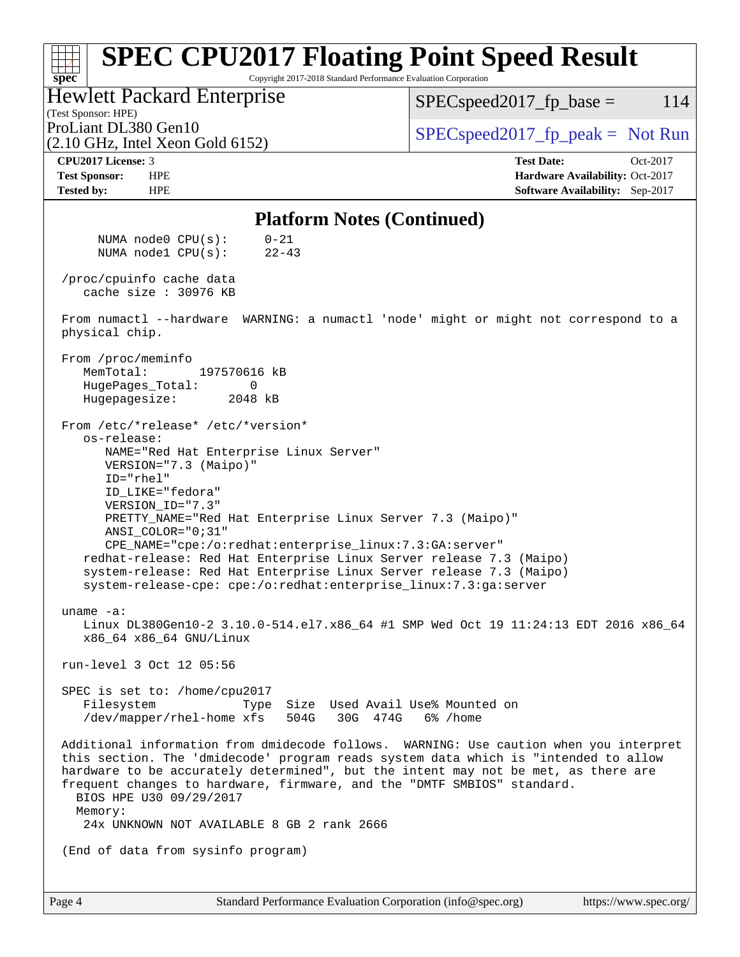#### **[spec](http://www.spec.org/) [SPEC CPU2017 Floating Point Speed Result](http://www.spec.org/auto/cpu2017/Docs/result-fields.html#SPECCPU2017FloatingPointSpeedResult)** Copyright 2017-2018 Standard Performance Evaluation Corporation (Test Sponsor: HPE) Hewlett Packard Enterprise (2.10 GHz, Intel Xeon Gold 6152) ProLiant DL380 Gen10  $SPEC speed2017_f$   $p\_peak = Not Run$  $SPEC speed2017<sub>fp</sub> base =  $114$$ **[CPU2017 License:](http://www.spec.org/auto/cpu2017/Docs/result-fields.html#CPU2017License)** 3 **[Test Date:](http://www.spec.org/auto/cpu2017/Docs/result-fields.html#TestDate)** Oct-2017 **[Test Sponsor:](http://www.spec.org/auto/cpu2017/Docs/result-fields.html#TestSponsor)** HPE **[Hardware Availability:](http://www.spec.org/auto/cpu2017/Docs/result-fields.html#HardwareAvailability)** Oct-2017 **[Tested by:](http://www.spec.org/auto/cpu2017/Docs/result-fields.html#Testedby)** HPE **[Software Availability:](http://www.spec.org/auto/cpu2017/Docs/result-fields.html#SoftwareAvailability)** Sep-2017 **[Platform Notes \(Continued\)](http://www.spec.org/auto/cpu2017/Docs/result-fields.html#PlatformNotes)** NUMA node0 CPU(s): 0-21 NUMA node1 CPU(s): 22-43 /proc/cpuinfo cache data cache size : 30976 KB From numactl --hardware WARNING: a numactl 'node' might or might not correspond to a physical chip. From /proc/meminfo MemTotal: 197570616 kB HugePages Total: 0 Hugepagesize: 2048 kB From /etc/\*release\* /etc/\*version\* os-release: NAME="Red Hat Enterprise Linux Server" VERSION="7.3 (Maipo)" ID="rhel" ID\_LIKE="fedora" VERSION\_ID="7.3" PRETTY\_NAME="Red Hat Enterprise Linux Server 7.3 (Maipo)" ANSI\_COLOR="0;31" CPE\_NAME="cpe:/o:redhat:enterprise\_linux:7.3:GA:server" redhat-release: Red Hat Enterprise Linux Server release 7.3 (Maipo) system-release: Red Hat Enterprise Linux Server release 7.3 (Maipo) system-release-cpe: cpe:/o:redhat:enterprise\_linux:7.3:ga:server uname -a: Linux DL380Gen10-2 3.10.0-514.el7.x86\_64 #1 SMP Wed Oct 19 11:24:13 EDT 2016 x86\_64 x86\_64 x86\_64 GNU/Linux run-level 3 Oct 12 05:56 SPEC is set to: /home/cpu2017 Filesystem Type Size Used Avail Use% Mounted on /dev/mapper/rhel-home xfs 504G 30G 474G 6% /home Additional information from dmidecode follows. WARNING: Use caution when you interpret this section. The 'dmidecode' program reads system data which is "intended to allow hardware to be accurately determined", but the intent may not be met, as there are frequent changes to hardware, firmware, and the "DMTF SMBIOS" standard. BIOS HPE U30 09/29/2017 Memory: 24x UNKNOWN NOT AVAILABLE 8 GB 2 rank 2666 (End of data from sysinfo program)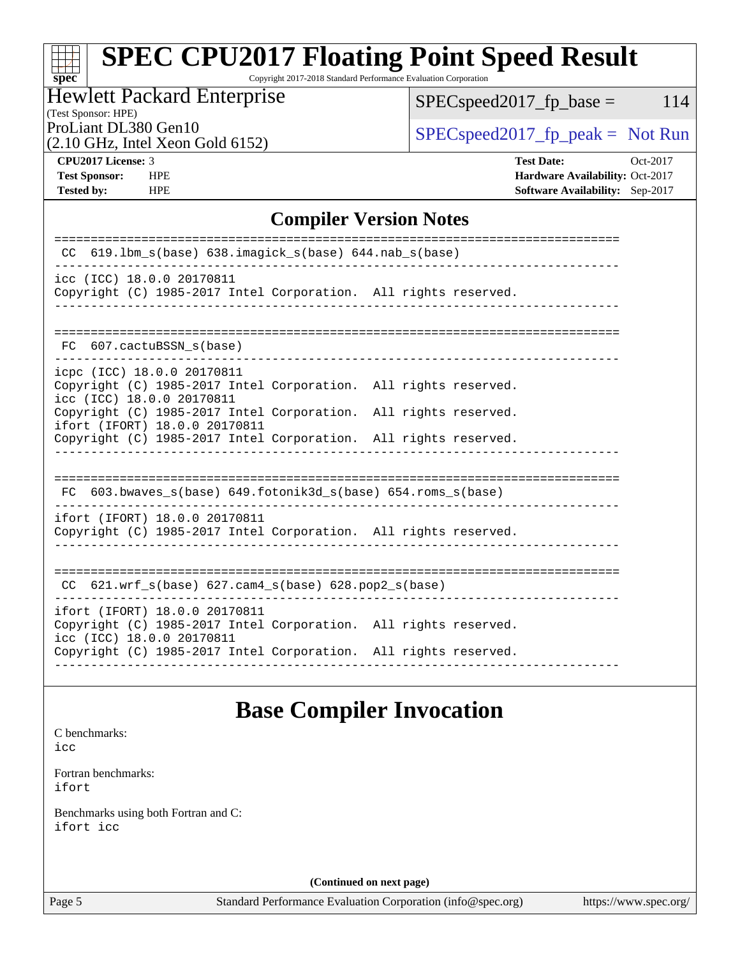Copyright 2017-2018 Standard Performance Evaluation Corporation

### Hewlett Packard Enterprise

 $SPEC speed2017_fp\_base = 114$ 

(Test Sponsor: HPE)

(2.10 GHz, Intel Xeon Gold 6152)

ProLiant DL380 Gen10  $SPEC speed2017$  [p\_peak = Not Run

**[spec](http://www.spec.org/)**

**[CPU2017 License:](http://www.spec.org/auto/cpu2017/Docs/result-fields.html#CPU2017License)** 3 **[Test Date:](http://www.spec.org/auto/cpu2017/Docs/result-fields.html#TestDate)** Oct-2017 **[Test Sponsor:](http://www.spec.org/auto/cpu2017/Docs/result-fields.html#TestSponsor)** HPE **[Hardware Availability:](http://www.spec.org/auto/cpu2017/Docs/result-fields.html#HardwareAvailability)** Oct-2017 **[Tested by:](http://www.spec.org/auto/cpu2017/Docs/result-fields.html#Testedby)** HPE **[Software Availability:](http://www.spec.org/auto/cpu2017/Docs/result-fields.html#SoftwareAvailability)** Sep-2017

### **[Compiler Version Notes](http://www.spec.org/auto/cpu2017/Docs/result-fields.html#CompilerVersionNotes)**

| $619.1$ bm_s(base) $638.imagick_s(base)$ $644.nab_s(base)$<br><sub>CC</sub>                                                                                         |                               |
|---------------------------------------------------------------------------------------------------------------------------------------------------------------------|-------------------------------|
| icc (ICC) 18.0.0 20170811<br>Copyright (C) 1985-2017 Intel Corporation. All rights reserved.                                                                        |                               |
| 607.cactuBSSN s(base)<br>FC.                                                                                                                                        |                               |
| icpc (ICC) 18.0.0 20170811<br>Copyright (C) 1985-2017 Intel Corporation. All rights reserved.<br>icc (ICC) 18.0.0 20170811                                          |                               |
| Copyright (C) 1985-2017 Intel Corporation. All rights reserved.<br>ifort (IFORT) 18.0.0 20170811<br>Copyright (C) 1985-2017 Intel Corporation. All rights reserved. |                               |
| FC 603.bwaves_s(base) 649.fotonik3d_s(base) 654.roms_s(base)                                                                                                        | ----------------------        |
| ifort (IFORT) 18.0.0 20170811<br>Copyright (C) 1985-2017 Intel Corporation. All rights reserved.                                                                    |                               |
| CC $621.$ wrf $s(base)$ $627.$ cam4 $s(base)$ $628.$ pop2 $s(base)$                                                                                                 | ----------------------------- |
| ifort (IFORT) 18.0.0 20170811<br>Copyright (C) 1985-2017 Intel Corporation. All rights reserved.<br>icc (ICC) 18.0.0 20170811                                       |                               |
| Copyright (C) 1985-2017 Intel Corporation. All rights reserved.                                                                                                     |                               |

## **[Base Compiler Invocation](http://www.spec.org/auto/cpu2017/Docs/result-fields.html#BaseCompilerInvocation)**

[C benchmarks](http://www.spec.org/auto/cpu2017/Docs/result-fields.html#Cbenchmarks): [icc](http://www.spec.org/cpu2017/results/res2017q4/cpu2017-20171031-00359.flags.html#user_CCbase_intel_icc_18.0_66fc1ee009f7361af1fbd72ca7dcefbb700085f36577c54f309893dd4ec40d12360134090235512931783d35fd58c0460139e722d5067c5574d8eaf2b3e37e92)

[Fortran benchmarks](http://www.spec.org/auto/cpu2017/Docs/result-fields.html#Fortranbenchmarks): [ifort](http://www.spec.org/cpu2017/results/res2017q4/cpu2017-20171031-00359.flags.html#user_FCbase_intel_ifort_18.0_8111460550e3ca792625aed983ce982f94888b8b503583aa7ba2b8303487b4d8a21a13e7191a45c5fd58ff318f48f9492884d4413fa793fd88dd292cad7027ca)

[Benchmarks using both Fortran and C](http://www.spec.org/auto/cpu2017/Docs/result-fields.html#BenchmarksusingbothFortranandC): [ifort](http://www.spec.org/cpu2017/results/res2017q4/cpu2017-20171031-00359.flags.html#user_CC_FCbase_intel_ifort_18.0_8111460550e3ca792625aed983ce982f94888b8b503583aa7ba2b8303487b4d8a21a13e7191a45c5fd58ff318f48f9492884d4413fa793fd88dd292cad7027ca) [icc](http://www.spec.org/cpu2017/results/res2017q4/cpu2017-20171031-00359.flags.html#user_CC_FCbase_intel_icc_18.0_66fc1ee009f7361af1fbd72ca7dcefbb700085f36577c54f309893dd4ec40d12360134090235512931783d35fd58c0460139e722d5067c5574d8eaf2b3e37e92)

**(Continued on next page)**

Page 5 Standard Performance Evaluation Corporation [\(info@spec.org\)](mailto:info@spec.org) <https://www.spec.org/>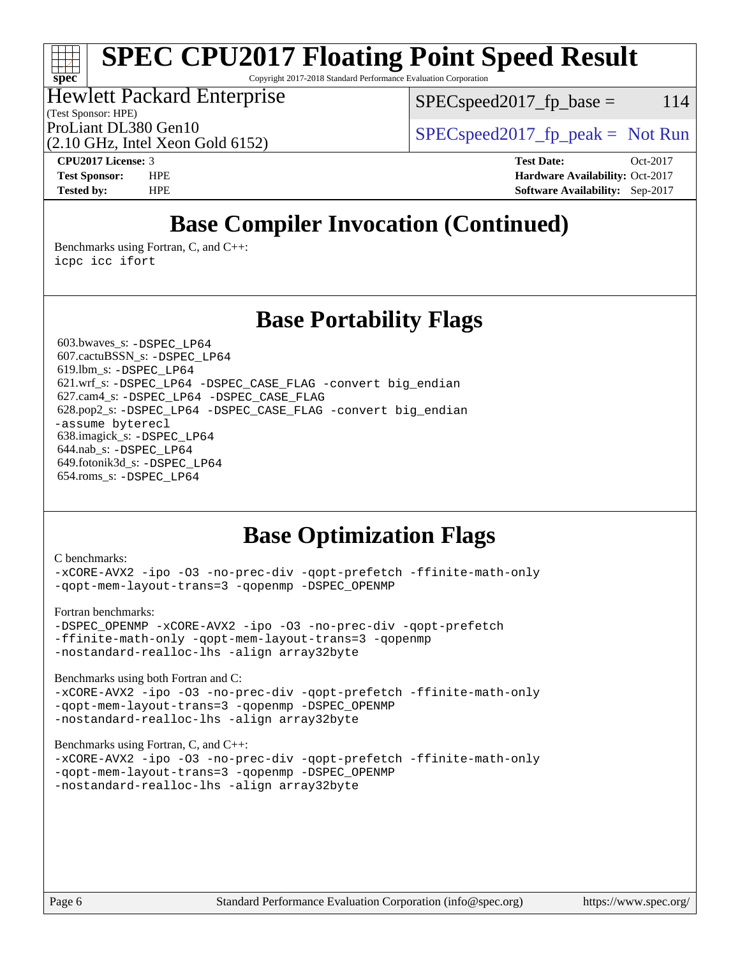Copyright 2017-2018 Standard Performance Evaluation Corporation

### Hewlett Packard Enterprise

 $SPEC speed2017<sub>fr</sub> base = 114$ 

(Test Sponsor: HPE)

(2.10 GHz, Intel Xeon Gold 6152)

ProLiant DL380 Gen10  $SPEC speed2017_fp\_peak = Not Run$ 

**[spec](http://www.spec.org/)**

**[CPU2017 License:](http://www.spec.org/auto/cpu2017/Docs/result-fields.html#CPU2017License)** 3 **[Test Date:](http://www.spec.org/auto/cpu2017/Docs/result-fields.html#TestDate)** Oct-2017 **[Test Sponsor:](http://www.spec.org/auto/cpu2017/Docs/result-fields.html#TestSponsor)** HPE **[Hardware Availability:](http://www.spec.org/auto/cpu2017/Docs/result-fields.html#HardwareAvailability)** Oct-2017 **[Tested by:](http://www.spec.org/auto/cpu2017/Docs/result-fields.html#Testedby)** HPE **[Software Availability:](http://www.spec.org/auto/cpu2017/Docs/result-fields.html#SoftwareAvailability)** Sep-2017

# **[Base Compiler Invocation \(Continued\)](http://www.spec.org/auto/cpu2017/Docs/result-fields.html#BaseCompilerInvocation)**

[Benchmarks using Fortran, C, and C++:](http://www.spec.org/auto/cpu2017/Docs/result-fields.html#BenchmarksusingFortranCandCXX) [icpc](http://www.spec.org/cpu2017/results/res2017q4/cpu2017-20171031-00359.flags.html#user_CC_CXX_FCbase_intel_icpc_18.0_c510b6838c7f56d33e37e94d029a35b4a7bccf4766a728ee175e80a419847e808290a9b78be685c44ab727ea267ec2f070ec5dc83b407c0218cded6866a35d07) [icc](http://www.spec.org/cpu2017/results/res2017q4/cpu2017-20171031-00359.flags.html#user_CC_CXX_FCbase_intel_icc_18.0_66fc1ee009f7361af1fbd72ca7dcefbb700085f36577c54f309893dd4ec40d12360134090235512931783d35fd58c0460139e722d5067c5574d8eaf2b3e37e92) [ifort](http://www.spec.org/cpu2017/results/res2017q4/cpu2017-20171031-00359.flags.html#user_CC_CXX_FCbase_intel_ifort_18.0_8111460550e3ca792625aed983ce982f94888b8b503583aa7ba2b8303487b4d8a21a13e7191a45c5fd58ff318f48f9492884d4413fa793fd88dd292cad7027ca)

### **[Base Portability Flags](http://www.spec.org/auto/cpu2017/Docs/result-fields.html#BasePortabilityFlags)**

 603.bwaves\_s: [-DSPEC\\_LP64](http://www.spec.org/cpu2017/results/res2017q4/cpu2017-20171031-00359.flags.html#suite_basePORTABILITY603_bwaves_s_DSPEC_LP64) 607.cactuBSSN\_s: [-DSPEC\\_LP64](http://www.spec.org/cpu2017/results/res2017q4/cpu2017-20171031-00359.flags.html#suite_basePORTABILITY607_cactuBSSN_s_DSPEC_LP64) 619.lbm\_s: [-DSPEC\\_LP64](http://www.spec.org/cpu2017/results/res2017q4/cpu2017-20171031-00359.flags.html#suite_basePORTABILITY619_lbm_s_DSPEC_LP64) 621.wrf\_s: [-DSPEC\\_LP64](http://www.spec.org/cpu2017/results/res2017q4/cpu2017-20171031-00359.flags.html#suite_basePORTABILITY621_wrf_s_DSPEC_LP64) [-DSPEC\\_CASE\\_FLAG](http://www.spec.org/cpu2017/results/res2017q4/cpu2017-20171031-00359.flags.html#b621.wrf_s_baseCPORTABILITY_DSPEC_CASE_FLAG) [-convert big\\_endian](http://www.spec.org/cpu2017/results/res2017q4/cpu2017-20171031-00359.flags.html#user_baseFPORTABILITY621_wrf_s_convert_big_endian_c3194028bc08c63ac5d04de18c48ce6d347e4e562e8892b8bdbdc0214820426deb8554edfa529a3fb25a586e65a3d812c835984020483e7e73212c4d31a38223) 627.cam4\_s: [-DSPEC\\_LP64](http://www.spec.org/cpu2017/results/res2017q4/cpu2017-20171031-00359.flags.html#suite_basePORTABILITY627_cam4_s_DSPEC_LP64) [-DSPEC\\_CASE\\_FLAG](http://www.spec.org/cpu2017/results/res2017q4/cpu2017-20171031-00359.flags.html#b627.cam4_s_baseCPORTABILITY_DSPEC_CASE_FLAG) 628.pop2\_s: [-DSPEC\\_LP64](http://www.spec.org/cpu2017/results/res2017q4/cpu2017-20171031-00359.flags.html#suite_basePORTABILITY628_pop2_s_DSPEC_LP64) [-DSPEC\\_CASE\\_FLAG](http://www.spec.org/cpu2017/results/res2017q4/cpu2017-20171031-00359.flags.html#b628.pop2_s_baseCPORTABILITY_DSPEC_CASE_FLAG) [-convert big\\_endian](http://www.spec.org/cpu2017/results/res2017q4/cpu2017-20171031-00359.flags.html#user_baseFPORTABILITY628_pop2_s_convert_big_endian_c3194028bc08c63ac5d04de18c48ce6d347e4e562e8892b8bdbdc0214820426deb8554edfa529a3fb25a586e65a3d812c835984020483e7e73212c4d31a38223) [-assume byterecl](http://www.spec.org/cpu2017/results/res2017q4/cpu2017-20171031-00359.flags.html#user_baseFPORTABILITY628_pop2_s_assume_byterecl_7e47d18b9513cf18525430bbf0f2177aa9bf368bc7a059c09b2c06a34b53bd3447c950d3f8d6c70e3faf3a05c8557d66a5798b567902e8849adc142926523472) 638.imagick\_s: [-DSPEC\\_LP64](http://www.spec.org/cpu2017/results/res2017q4/cpu2017-20171031-00359.flags.html#suite_basePORTABILITY638_imagick_s_DSPEC_LP64) 644.nab\_s: [-DSPEC\\_LP64](http://www.spec.org/cpu2017/results/res2017q4/cpu2017-20171031-00359.flags.html#suite_basePORTABILITY644_nab_s_DSPEC_LP64) 649.fotonik3d\_s: [-DSPEC\\_LP64](http://www.spec.org/cpu2017/results/res2017q4/cpu2017-20171031-00359.flags.html#suite_basePORTABILITY649_fotonik3d_s_DSPEC_LP64) 654.roms\_s: [-DSPEC\\_LP64](http://www.spec.org/cpu2017/results/res2017q4/cpu2017-20171031-00359.flags.html#suite_basePORTABILITY654_roms_s_DSPEC_LP64)

# **[Base Optimization Flags](http://www.spec.org/auto/cpu2017/Docs/result-fields.html#BaseOptimizationFlags)**

#### [C benchmarks](http://www.spec.org/auto/cpu2017/Docs/result-fields.html#Cbenchmarks):

[-xCORE-AVX2](http://www.spec.org/cpu2017/results/res2017q4/cpu2017-20171031-00359.flags.html#user_CCbase_f-xCORE-AVX2) [-ipo](http://www.spec.org/cpu2017/results/res2017q4/cpu2017-20171031-00359.flags.html#user_CCbase_f-ipo) [-O3](http://www.spec.org/cpu2017/results/res2017q4/cpu2017-20171031-00359.flags.html#user_CCbase_f-O3) [-no-prec-div](http://www.spec.org/cpu2017/results/res2017q4/cpu2017-20171031-00359.flags.html#user_CCbase_f-no-prec-div) [-qopt-prefetch](http://www.spec.org/cpu2017/results/res2017q4/cpu2017-20171031-00359.flags.html#user_CCbase_f-qopt-prefetch) [-ffinite-math-only](http://www.spec.org/cpu2017/results/res2017q4/cpu2017-20171031-00359.flags.html#user_CCbase_f_finite_math_only_cb91587bd2077682c4b38af759c288ed7c732db004271a9512da14a4f8007909a5f1427ecbf1a0fb78ff2a814402c6114ac565ca162485bbcae155b5e4258871) [-qopt-mem-layout-trans=3](http://www.spec.org/cpu2017/results/res2017q4/cpu2017-20171031-00359.flags.html#user_CCbase_f-qopt-mem-layout-trans_de80db37974c74b1f0e20d883f0b675c88c3b01e9d123adea9b28688d64333345fb62bc4a798493513fdb68f60282f9a726aa07f478b2f7113531aecce732043) [-qopenmp](http://www.spec.org/cpu2017/results/res2017q4/cpu2017-20171031-00359.flags.html#user_CCbase_qopenmp_16be0c44f24f464004c6784a7acb94aca937f053568ce72f94b139a11c7c168634a55f6653758ddd83bcf7b8463e8028bb0b48b77bcddc6b78d5d95bb1df2967) [-DSPEC\\_OPENMP](http://www.spec.org/cpu2017/results/res2017q4/cpu2017-20171031-00359.flags.html#suite_CCbase_DSPEC_OPENMP)

#### [Fortran benchmarks](http://www.spec.org/auto/cpu2017/Docs/result-fields.html#Fortranbenchmarks):

[-DSPEC\\_OPENMP](http://www.spec.org/cpu2017/results/res2017q4/cpu2017-20171031-00359.flags.html#suite_FCbase_DSPEC_OPENMP) [-xCORE-AVX2](http://www.spec.org/cpu2017/results/res2017q4/cpu2017-20171031-00359.flags.html#user_FCbase_f-xCORE-AVX2) [-ipo](http://www.spec.org/cpu2017/results/res2017q4/cpu2017-20171031-00359.flags.html#user_FCbase_f-ipo) [-O3](http://www.spec.org/cpu2017/results/res2017q4/cpu2017-20171031-00359.flags.html#user_FCbase_f-O3) [-no-prec-div](http://www.spec.org/cpu2017/results/res2017q4/cpu2017-20171031-00359.flags.html#user_FCbase_f-no-prec-div) [-qopt-prefetch](http://www.spec.org/cpu2017/results/res2017q4/cpu2017-20171031-00359.flags.html#user_FCbase_f-qopt-prefetch) [-ffinite-math-only](http://www.spec.org/cpu2017/results/res2017q4/cpu2017-20171031-00359.flags.html#user_FCbase_f_finite_math_only_cb91587bd2077682c4b38af759c288ed7c732db004271a9512da14a4f8007909a5f1427ecbf1a0fb78ff2a814402c6114ac565ca162485bbcae155b5e4258871) [-qopt-mem-layout-trans=3](http://www.spec.org/cpu2017/results/res2017q4/cpu2017-20171031-00359.flags.html#user_FCbase_f-qopt-mem-layout-trans_de80db37974c74b1f0e20d883f0b675c88c3b01e9d123adea9b28688d64333345fb62bc4a798493513fdb68f60282f9a726aa07f478b2f7113531aecce732043) [-qopenmp](http://www.spec.org/cpu2017/results/res2017q4/cpu2017-20171031-00359.flags.html#user_FCbase_qopenmp_16be0c44f24f464004c6784a7acb94aca937f053568ce72f94b139a11c7c168634a55f6653758ddd83bcf7b8463e8028bb0b48b77bcddc6b78d5d95bb1df2967) [-nostandard-realloc-lhs](http://www.spec.org/cpu2017/results/res2017q4/cpu2017-20171031-00359.flags.html#user_FCbase_f_2003_std_realloc_82b4557e90729c0f113870c07e44d33d6f5a304b4f63d4c15d2d0f1fab99f5daaed73bdb9275d9ae411527f28b936061aa8b9c8f2d63842963b95c9dd6426b8a) [-align array32byte](http://www.spec.org/cpu2017/results/res2017q4/cpu2017-20171031-00359.flags.html#user_FCbase_align_array32byte_b982fe038af199962ba9a80c053b8342c548c85b40b8e86eb3cc33dee0d7986a4af373ac2d51c3f7cf710a18d62fdce2948f201cd044323541f22fc0fffc51b6)

[Benchmarks using both Fortran and C](http://www.spec.org/auto/cpu2017/Docs/result-fields.html#BenchmarksusingbothFortranandC):

[-xCORE-AVX2](http://www.spec.org/cpu2017/results/res2017q4/cpu2017-20171031-00359.flags.html#user_CC_FCbase_f-xCORE-AVX2) [-ipo](http://www.spec.org/cpu2017/results/res2017q4/cpu2017-20171031-00359.flags.html#user_CC_FCbase_f-ipo) [-O3](http://www.spec.org/cpu2017/results/res2017q4/cpu2017-20171031-00359.flags.html#user_CC_FCbase_f-O3) [-no-prec-div](http://www.spec.org/cpu2017/results/res2017q4/cpu2017-20171031-00359.flags.html#user_CC_FCbase_f-no-prec-div) [-qopt-prefetch](http://www.spec.org/cpu2017/results/res2017q4/cpu2017-20171031-00359.flags.html#user_CC_FCbase_f-qopt-prefetch) [-ffinite-math-only](http://www.spec.org/cpu2017/results/res2017q4/cpu2017-20171031-00359.flags.html#user_CC_FCbase_f_finite_math_only_cb91587bd2077682c4b38af759c288ed7c732db004271a9512da14a4f8007909a5f1427ecbf1a0fb78ff2a814402c6114ac565ca162485bbcae155b5e4258871) [-qopt-mem-layout-trans=3](http://www.spec.org/cpu2017/results/res2017q4/cpu2017-20171031-00359.flags.html#user_CC_FCbase_f-qopt-mem-layout-trans_de80db37974c74b1f0e20d883f0b675c88c3b01e9d123adea9b28688d64333345fb62bc4a798493513fdb68f60282f9a726aa07f478b2f7113531aecce732043) [-qopenmp](http://www.spec.org/cpu2017/results/res2017q4/cpu2017-20171031-00359.flags.html#user_CC_FCbase_qopenmp_16be0c44f24f464004c6784a7acb94aca937f053568ce72f94b139a11c7c168634a55f6653758ddd83bcf7b8463e8028bb0b48b77bcddc6b78d5d95bb1df2967) [-DSPEC\\_OPENMP](http://www.spec.org/cpu2017/results/res2017q4/cpu2017-20171031-00359.flags.html#suite_CC_FCbase_DSPEC_OPENMP) [-nostandard-realloc-lhs](http://www.spec.org/cpu2017/results/res2017q4/cpu2017-20171031-00359.flags.html#user_CC_FCbase_f_2003_std_realloc_82b4557e90729c0f113870c07e44d33d6f5a304b4f63d4c15d2d0f1fab99f5daaed73bdb9275d9ae411527f28b936061aa8b9c8f2d63842963b95c9dd6426b8a) [-align array32byte](http://www.spec.org/cpu2017/results/res2017q4/cpu2017-20171031-00359.flags.html#user_CC_FCbase_align_array32byte_b982fe038af199962ba9a80c053b8342c548c85b40b8e86eb3cc33dee0d7986a4af373ac2d51c3f7cf710a18d62fdce2948f201cd044323541f22fc0fffc51b6)

[Benchmarks using Fortran, C, and C++:](http://www.spec.org/auto/cpu2017/Docs/result-fields.html#BenchmarksusingFortranCandCXX)

```
-xCORE-AVX2 -ipo -O3 -no-prec-div -qopt-prefetch -ffinite-math-only
-qopt-mem-layout-trans=3 -qopenmp -DSPEC_OPENMP
-nostandard-realloc-lhs -align array32byte
```